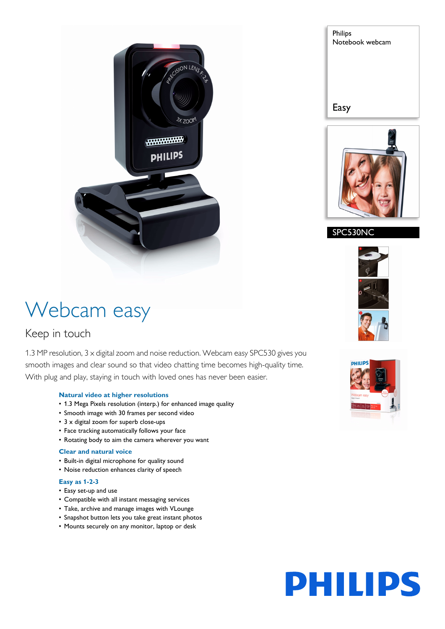

# Philips Notebook webcam Easy



### SPC530NC

## Webcam easy

### Keep in touch

1.3 MP resolution, 3 x digital zoom and noise reduction. Webcam easy SPC530 gives you smooth images and clear sound so that video chatting time becomes high-quality time. With plug and play, staying in touch with loved ones has never been easier.

#### **Natural video at higher resolutions**

- 1.3 Mega Pixels resolution (interp.) for enhanced image quality
- Smooth image with 30 frames per second video
- 3 x digital zoom for superb close-ups
- Face tracking automatically follows your face
- Rotating body to aim the camera wherever you want

#### **Clear and natural voice**

- Built-in digital microphone for quality sound
- Noise reduction enhances clarity of speech

#### **Easy as 1-2-3**

- Easy set-up and use
- Compatible with all instant messaging services
- Take, archive and manage images with VLounge
- Snapshot button lets you take great instant photos
- Mounts securely on any monitor, laptop or desk



# **PHILIPS**